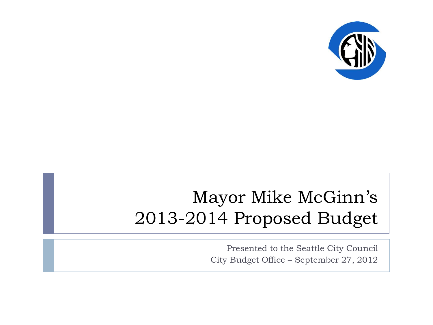

#### Mayor Mike McGinn's 2013-2014 Proposed Budget

Presented to the Seattle City Council City Budget Office – September 27, 2012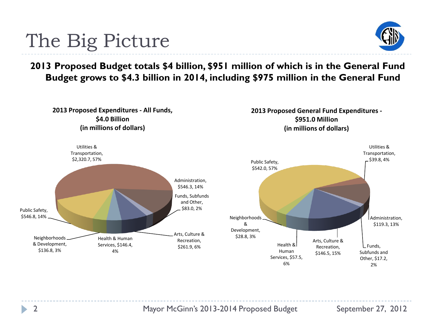

**2013 Proposed Budget totals \$4 billion, \$951 million of which is in the General Fund Budget grows to \$4.3 billion in 2014, including \$975 million in the General Fund**

## The Big Picture

**2013 Proposed Expenditures - All Funds, \$4.0 Billion (in millions of dollars)**



**2013 Proposed General Fund Expenditures - \$951.0 Million (in millions of dollars)**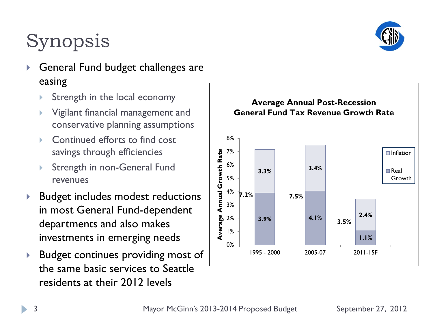

# Synopsis

- ▶ General Fund budget challenges are easing
	- Strength in the local economy
	- Vigilant financial management and conservative planning assumptions
	- Continued efforts to find cost savings through efficiencies
	- Strength in non-General Fund revenues
- ▶ Budget includes modest reductions in most General Fund-dependent departments and also makes investments in emerging needs
- **Budget continues providing most of** the same basic services to Seattle residents at their 2012 levels

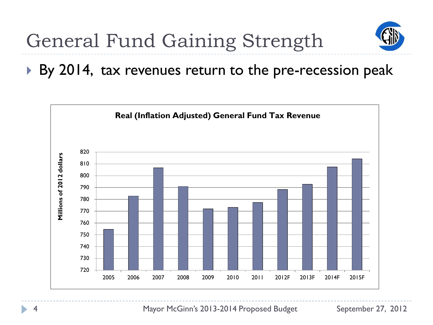

▶ By 2014, tax revenues return to the pre-recession peak

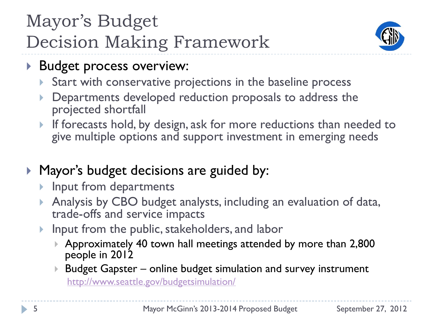## Mayor's Budget Decision Making Framework



- **Budget process overview:** 
	- Start with conservative projections in the baseline process
	- Departments developed reduction proposals to address the projected shortfall
	- If forecasts hold, by design, ask for more reductions than needed to give multiple options and support investment in emerging needs
- **Mayor's budget decisions are guided by:** 
	- **Input from departments**
	- Analysis by CBO budget analysts, including an evaluation of data, trade-offs and service impacts
	- Input from the public, stakeholders, and labor
		- Approximately 40 town hall meetings attended by more than 2,800 people in 2012
		- Budget Gapster online budget simulation and survey instrument <http://www.seattle.gov/budgetsimulation/>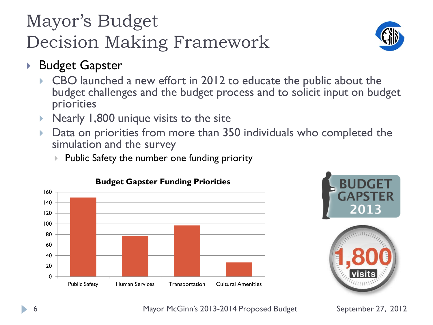## Mayor's Budget Decision Making Framework



- ▶ Budget Gapster
	- CBO launched a new effort in 2012 to educate the public about the budget challenges and the budget process and to solicit input on budget priorities
	- Nearly 1,800 unique visits to the site
	- Data on priorities from more than 350 individuals who completed the simulation and the survey
		- $\triangleright$  Public Safety the number one funding priority







6 Mayor McGinn's 2013-2014 Proposed Budget September 27, 2012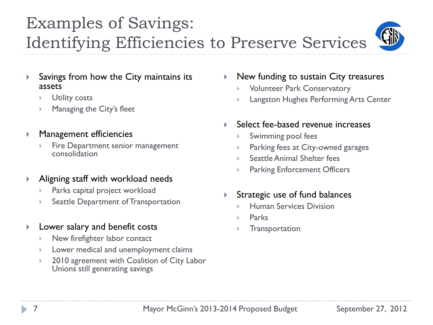#### Examples of Savings: Identifying Efficiencies to Preserve Services



- Savings from how the City maintains its assets
	- Utility costs
	- Managing the City's fleet
- **Management efficiencies** 
	- Fire Department senior management consolidation
- Aligning staff with workload needs
	- Parks capital project workload
	- Seattle Department of Transportation
- **Lower salary and benefit costs** 
	- ▶ New firefighter labor contact
	- Lower medical and unemployment claims
	- 2010 agreement with Coalition of City Labor Unions still generating savings
- New funding to sustain City treasures
	- Volunteer Park Conservatory
	- Langston Hughes Performing Arts Center
- Select fee-based revenue increases
	- Swimming pool fees
	- Parking fees at City-owned garages
	- Seattle Animal Shelter fees
	- Parking Enforcement Officers
- Strategic use of fund balances
	- Human Services Division
	- Parks
	- **Transportation**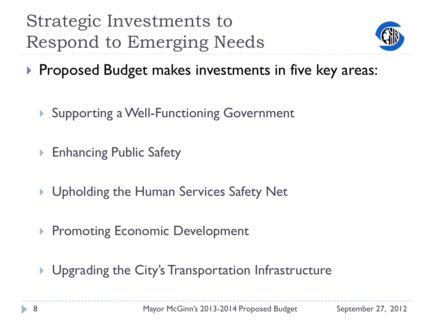Strategic Investments to Respond to Emerging Needs



- **Proposed Budget makes investments in five key areas:** 
	- ▶ Supporting a Well-Functioning Government
	- Enhancing Public Safety
	- ▶ Upholding the Human Services Safety Net
	- ▶ Promoting Economic Development
	- **I** Upgrading the City's Transportation Infrastructure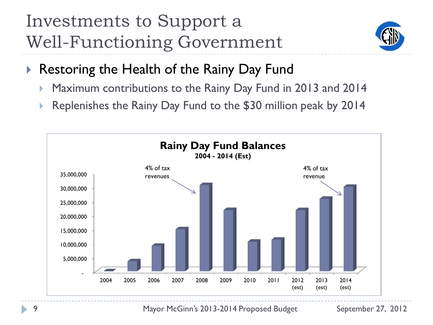### Investments to Support a Well-Functioning Government



- ▶ Restoring the Health of the Rainy Day Fund
	- Maximum contributions to the Rainy Day Fund in 2013 and 2014
	- Replenishes the Rainy Day Fund to the \$30 million peak by 2014

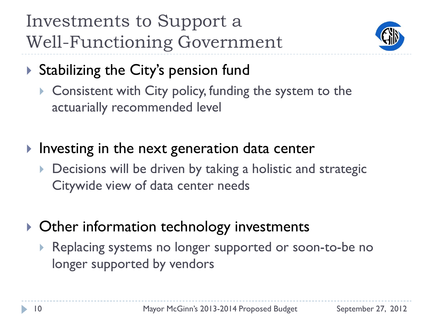Investments to Support a Well-Functioning Government



- Stabilizing the City's pension fund
	- ▶ Consistent with City policy, funding the system to the actuarially recommended level
- $\blacktriangleright$  Investing in the next generation data center
	- Decisions will be driven by taking a holistic and strategic Citywide view of data center needs
- ▶ Other information technology investments
	- Replacing systems no longer supported or soon-to-be no longer supported by vendors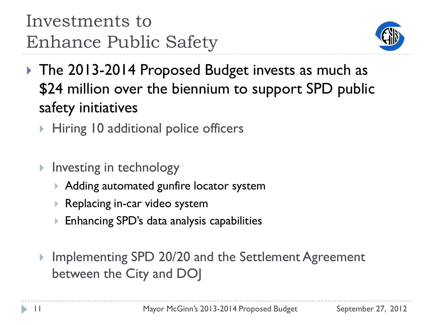

- ▶ The 2013-2014 Proposed Budget invests as much as \$24 million over the biennium to support SPD public safety initiatives
	- ▶ Hiring 10 additional police officers
	- $\blacktriangleright$  Investing in technology
		- Adding automated gunfire locator system
		- Replacing in-car video system
		- Enhancing SPD's data analysis capabilities
	- Implementing SPD 20/20 and the Settlement Agreement between the City and DOJ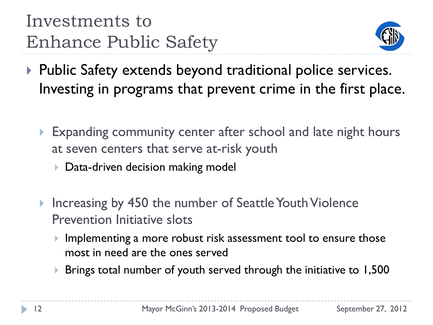Investments to Enhance Public Safety



- ▶ Public Safety extends beyond traditional police services. Investing in programs that prevent crime in the first place.
	- Expanding community center after school and late night hours at seven centers that serve at-risk youth
		- **Data-driven decision making model**
	- ▶ Increasing by 450 the number of Seattle Youth Violence Prevention Initiative slots
		- Implementing a more robust risk assessment tool to ensure those most in need are the ones served
		- ▶ Brings total number of youth served through the initiative to 1,500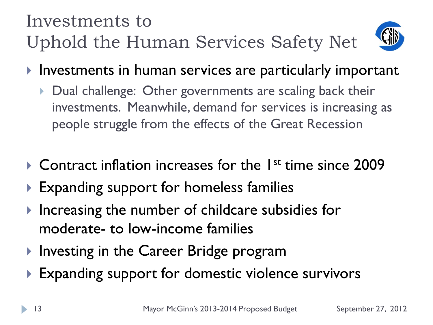### Investments to Uphold the Human Services Safety Net



- Investments in human services are particularly important
	- Dual challenge: Other governments are scaling back their investments. Meanwhile, demand for services is increasing as people struggle from the effects of the Great Recession
- $\triangleright$  Contract inflation increases for the  $1^{st}$  time since 2009
- Expanding support for homeless families
- Increasing the number of childcare subsidies for moderate- to low-income families
- ▶ Investing in the Career Bridge program
- **Expanding support for domestic violence survivors**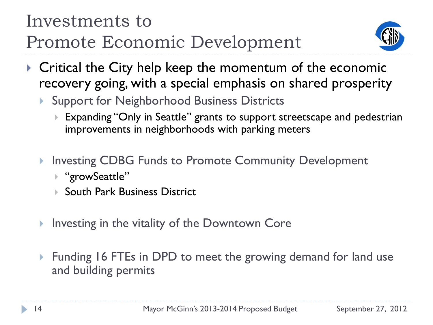### Investments to Promote Economic Development



- ▶ Critical the City help keep the momentum of the economic recovery going, with a special emphasis on shared prosperity
	- Support for Neighborhood Business Districts
		- ▶ Expanding "Only in Seattle" grants to support streetscape and pedestrian improvements in neighborhoods with parking meters
	- ▶ Investing CDBG Funds to Promote Community Development
		- ▶ "growSeattle"
		- ▶ South Park Business District
	- Investing in the vitality of the Downtown Core
	- ▶ Funding 16 FTEs in DPD to meet the growing demand for land use and building permits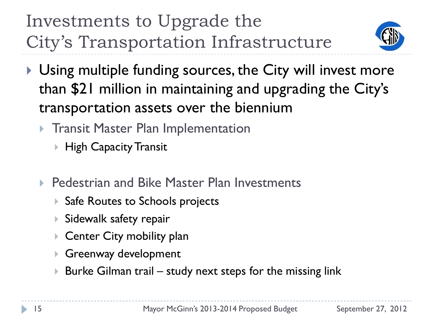Investments to Upgrade the City's Transportation Infrastructure



- Using multiple funding sources, the City will invest more than \$21 million in maintaining and upgrading the City's transportation assets over the biennium
	- **Transit Master Plan Implementation** 
		- ▶ High Capacity Transit
	- ▶ Pedestrian and Bike Master Plan Investments
		- ▶ Safe Routes to Schools projects
		- Sidewalk safety repair
		- ▶ Center City mobility plan
		- Greenway development
		- $\triangleright$  Burke Gilman trail study next steps for the missing link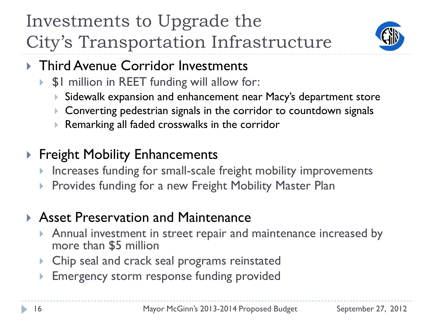Investments to Upgrade the City's Transportation Infrastructure



- ▶ Third Avenue Corridor Investments
	- \$1 million in REET funding will allow for:
		- Sidewalk expansion and enhancement near Macy's department store
		- Converting pedestrian signals in the corridor to countdown signals
		- Remarking all faded crosswalks in the corridor
- ▶ Freight Mobility Enhancements
	- **Increases funding for small-scale freight mobility improvements**
	- Provides funding for a new Freight Mobility Master Plan

#### ▶ Asset Preservation and Maintenance

- Annual investment in street repair and maintenance increased by more than \$5 million
- Chip seal and crack seal programs reinstated
- Emergency storm response funding provided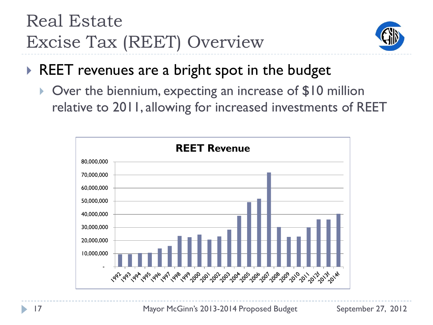### Real Estate Excise Tax (REET) Overview



#### REET revenues are a bright spot in the budget

 Over the biennium, expecting an increase of \$10 million relative to 2011, allowing for increased investments of REET

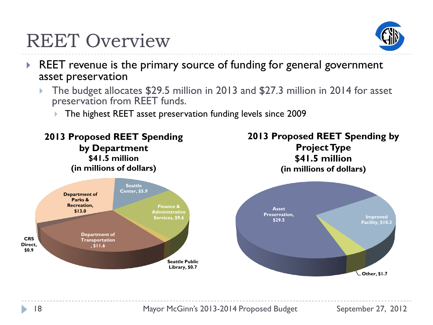

### REET Overview

- REET revenue is the primary source of funding for general government asset preservation
	- The budget allocates \$29.5 million in 2013 and \$27.3 million in 2014 for asset preservation from REET funds.
		- The highest REET asset preservation funding levels since 2009



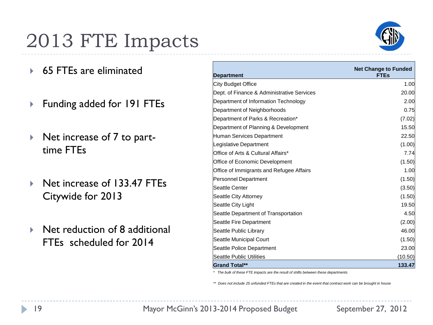## 2013 FTE Impacts

- ▶ 65 FTEs are eliminated
- ▶ Funding added for 191 FTEs
- ▶ Net increase of 7 to parttime FTEs
- ▶ Net increase of 133.47 FTEs Citywide for 2013
- ▶ Net reduction of 8 additional FTEs scheduled for 2014

|                                            | <b>Net Change to Funded</b> |
|--------------------------------------------|-----------------------------|
| <b>Department</b>                          | <b>FTEs</b>                 |
| City Budget Office                         | 1.00                        |
| Dept. of Finance & Administrative Services | 20.00                       |
| Department of Information Technology       | 2.00                        |
| Department of Neighborhoods                | 0.75                        |
| Department of Parks & Recreation*          | (7.02)                      |
| Department of Planning & Development       | 15.50                       |
| Human Services Department                  | 22.50                       |
| Legislative Department                     | (1.00)                      |
| Office of Arts & Cultural Affairs*         | 7.74                        |
| Office of Economic Development             | (1.50)                      |
| Office of Immigrants and Refugee Affairs   | 1.00                        |
| Personnel Department                       | (1.50)                      |
| Seattle Center                             | (3.50)                      |
| Seattle City Attorney                      | (1.50)                      |
| Seattle City Light                         | 19.50                       |
| Seattle Department of Transportation       | 4.50                        |
| Seattle Fire Department                    | (2.00)                      |
| Seattle Public Library                     | 46.00                       |
| Seattle Municipal Court                    | (1.50)                      |
| Seattle Police Department                  | 23.00                       |
| Seattle Public Utilities                   | (10.50)                     |
| <b>Grand Total**</b>                       | 133.47                      |

*\* The bulk of these FTE impacts are the result of shifts between these departments*

*\*\* Does not include 25 unfunded FTEs that are created in the event that contract work can be brought in house*

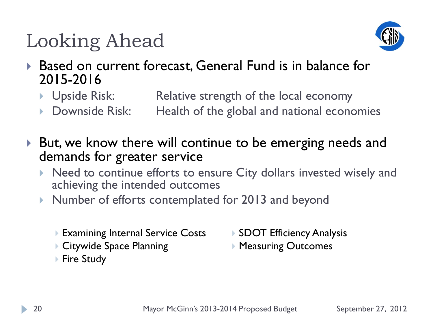

- ▶ Based on current forecast, General Fund is in balance for 2015-2016
	- **I** Upside Risk: Relative strength of the local economy
	- Downside Risk: Health of the global and national economies
- ▶ But, we know there will continue to be emerging needs and demands for greater service
	- Need to continue efforts to ensure City dollars invested wisely and achieving the intended outcomes
	- ▶ Number of efforts contemplated for 2013 and beyond
		- ▶ Examining Internal Service Costs
		- ▶ Citywide Space Planning
		- ▶ Fire Study
- ▶ SDOT Efficiency Analysis
- ▶ Measuring Outcomes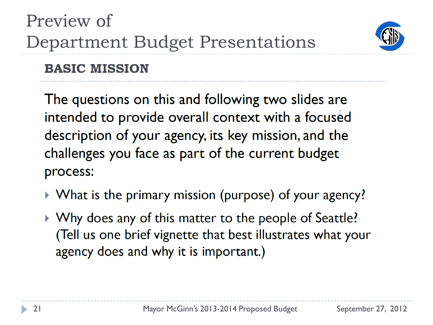

#### **BASIC MISSION**

The questions on this and following two slides are intended to provide overall context with a focused description of your agency, its key mission, and the challenges you face as part of the current budget process:

- ▶ What is the primary mission (purpose) of your agency?
- ▶ Why does any of this matter to the people of Seattle? (Tell us one brief vignette that best illustrates what your agency does and why it is important.)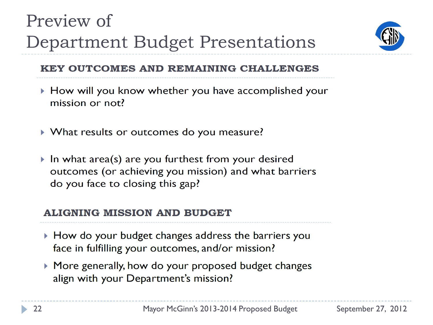

#### **KEY OUTCOMES AND REMAINING CHALLENGES**

- ▶ How will you know whether you have accomplished your mission or not?
- ▶ What results or outcomes do you measure?
- In what area(s) are you furthest from your desired outcomes (or achieving you mission) and what barriers do you face to closing this gap?

#### **ALIGNING MISSION AND BUDGET**

- How do your budget changes address the barriers you face in fulfilling your outcomes, and/or mission?
- ▶ More generally, how do your proposed budget changes align with your Department's mission?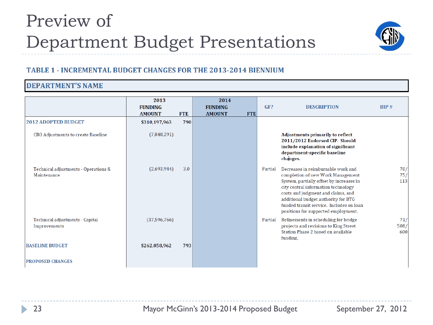

#### **TABLE 1 - INCREMENTAL BUDGET CHANGES FOR THE 2013-2014 BIENNIUM**

#### **DEPARTMENT'S NAME**

|                                                     | 2013<br><b>FUNDING</b><br><b>AMOUNT</b> | <b>FTE</b> | 2014<br><b>FUNDING</b><br><b>AMOUNT</b> | <b>FTE</b> | GF?     | <b>DESCRIPTION</b>                                                                                                                                                                                                                                                                                                         | BIP#               |
|-----------------------------------------------------|-----------------------------------------|------------|-----------------------------------------|------------|---------|----------------------------------------------------------------------------------------------------------------------------------------------------------------------------------------------------------------------------------------------------------------------------------------------------------------------------|--------------------|
| <b>2012 ADOPTED BUDGET</b>                          | \$310,197,963                           | 790        |                                         |            |         |                                                                                                                                                                                                                                                                                                                            |                    |
| CBO Adjustments to create Baseline                  | (7,848,291)                             |            |                                         |            |         | <b>Adjustments primarily to reflect</b><br>2011/2012 Endorsed CIP. Should<br>include explanation of significant<br>department-specific baseline<br>changes.                                                                                                                                                                |                    |
| Technical adjustments - Operations &<br>Maintenance | (2,693,944)                             | 3.0        |                                         |            | Partial | Decreases in reimbursable work and<br>completion of new Work Management<br>System, partially offset by increases in<br>city central information technology<br>costs and judgment and claims, and<br>additional budget authority for BTG<br>funded transit service. Includes on loan<br>positions for supported employment. | 70/<br>75/<br>113  |
| Technical adjustments - Capital<br>Improvements     | (37, 596, 766)                          |            |                                         |            | Partial | Refinements in scheduling for bridge<br>projects and revisions to King Street<br>Station Phase 2 based on available<br>funding.                                                                                                                                                                                            | 71/<br>508/<br>600 |
| <b>BASELINE BUDGET</b>                              | \$262,058,962                           | 793        |                                         |            |         |                                                                                                                                                                                                                                                                                                                            |                    |
| <b>PROPOSED CHANGES</b>                             |                                         |            |                                         |            |         |                                                                                                                                                                                                                                                                                                                            |                    |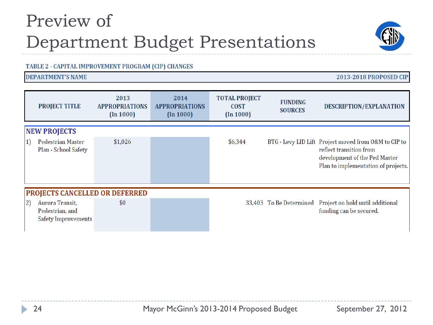#### TABLE 2 - CAPITAL IMPROVEMENT PROGRAM (CIP) CHANGES

#### **DEPARTMENT'S NAME**

|                | <b>PROJECT TITLE</b>                                      | 2013<br><b>APPROPRIATIONS</b><br>(In 1000) | 2014<br><b>APPROPRIATIONS</b><br>(In 1000) | <b>TOTAL PROJECT</b><br><b>COST</b><br>(In 1000) | <b>FUNDING</b><br><b>SOURCES</b> | <b>DESCRIPTION/EXPLANATION</b>                                                                                                                          |  |  |
|----------------|-----------------------------------------------------------|--------------------------------------------|--------------------------------------------|--------------------------------------------------|----------------------------------|---------------------------------------------------------------------------------------------------------------------------------------------------------|--|--|
|                | <b>NEW PROJECTS</b>                                       |                                            |                                            |                                                  |                                  |                                                                                                                                                         |  |  |
| $\vert$ 1)     | Pedestrian Master<br>Plan - School Safety                 | \$1,026                                    |                                            | \$6,344                                          |                                  | BTG - Levy LID Lift Project moved from O&M to CIP to<br>reflect transition from<br>development of the Ped Master<br>Plan to implementation of projects. |  |  |
|                | <b>PROJECTS CANCELLED OR DEFERRED</b>                     |                                            |                                            |                                                  |                                  |                                                                                                                                                         |  |  |
| $\overline{2}$ | Aurora Transit,<br>Pedestrian, and<br>Safety Improvements | \$0                                        |                                            |                                                  | 33,403 To Be Determined          | Project on hold until additional<br>funding can be secured.                                                                                             |  |  |





2013-2018 PROPOSED CIP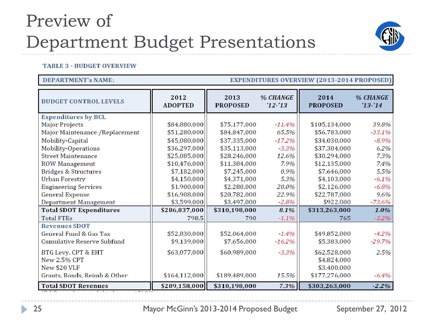

#### **TABLE 3 - BUDGET OVERVIEW**

#### **DEPARTMENT's NAME:**

#### **EXPENDITURES OVERVIEW (2013-2014 PROPOSED)**

| <b>BUDGET CONTROL LEVELS</b>      | 2012<br><b>ADOPTED</b> | 2013<br><b>PROPOSED</b> | % CHANGE<br>$'12 - 13$ | 2014<br><b>PROPOSED</b> | % CHANGE<br>$'13 - 14$ |
|-----------------------------------|------------------------|-------------------------|------------------------|-------------------------|------------------------|
| <b>Expenditures by BCL</b>        |                        |                         |                        |                         |                        |
| <b>Major Projects</b>             | \$84,880,000           | \$75,177,000            | $-11.4%$               | \$105,134,000           | 39.8%                  |
| Major Maintenance / Replacement   | \$51,280,000           | \$84,847,000            | 65.5%                  | \$56,783,000            | $-33.1%$               |
| Mobility-Capital                  | \$45,080,000           | \$37,335,000            | $-17.2%$               | \$34,030,000            | $-8.9%$                |
| Mobility-Operations               | \$36,297,000           | \$35,113,000            | $-3.3%$                | \$37,304,000            | 6.2%                   |
| <b>Street Maintenance</b>         | \$25,085,000           | \$28,246,000            | 12.6%                  | \$30,294,000            | 7.3%                   |
| <b>ROW Management</b>             | \$10,476,000           | \$11,304,000            | 7.9%                   | \$12,135,000            | 7.4%                   |
| <b>Bridges &amp; Structures</b>   | \$7,182,000            | \$7,245,000             | 0.9%                   | \$7,646,000             | 5.5%                   |
| <b>Urban Forestry</b>             | \$4,150,000            | \$4,371,000             | 5.3%                   | \$4,103,000             | $-6.1\%$               |
| <b>Engineering Services</b>       | \$1,900,000            | \$2,280,000             | 20.0%                  | \$2,126,000             | $-6.8%$                |
| <b>General Expense</b>            | \$16,908,000           | \$20,782,000            | 22.9%                  | \$22,787,000            | 9.6%                   |
| Department Management             | \$3,599,000            | \$3,497,000             | $-2.8%$                | \$922,000               | $-73.6%$               |
| <b>Total SDOT Expenditures</b>    | \$286,837,000          | \$310,198,000           | 8.1%                   | \$313,263,000           | $1.0\%$                |
| <b>Total FTEs</b>                 | 798.5                  | 790                     | $-1.1%$                | 765                     | $-3.2\%$               |
| <b>Revenues SDOT</b>              |                        |                         |                        |                         |                        |
| General Fund & Gas Tax            | \$52,830,000           | \$52,064,000            | $-1.4%$                | \$49,852,000            | $-4.2\%$               |
| <b>Cumulative Reserve Subfund</b> | \$9,139,000            | \$7,656,000             | $-16.2%$               | \$5,383,000             | $-29.7%$               |
| BTG Levy, CPT & EHT               | \$63,077,000           | \$60,989,000            | $-3.3%$                | \$62,528,000            | 2.5%                   |
| New 2.5% CPT                      |                        |                         |                        | \$4,824,000             |                        |
| New \$20 VLF                      |                        |                         |                        | \$3,400,000             |                        |
| Grants, Bonds, Reimb & Other      | \$164,112,000          | \$189,489,000           | 15.5%                  | \$177,276,000           | $-6.4\%$               |
| <b>Total SDOT Revenues</b>        | \$289,158,000          | \$310,198,000           | 7.3%                   | \$303,263,000           | $-2.2\%$               |

25 Mayor McGinn's 2013-2014 Proposed Budget September 27, 2012